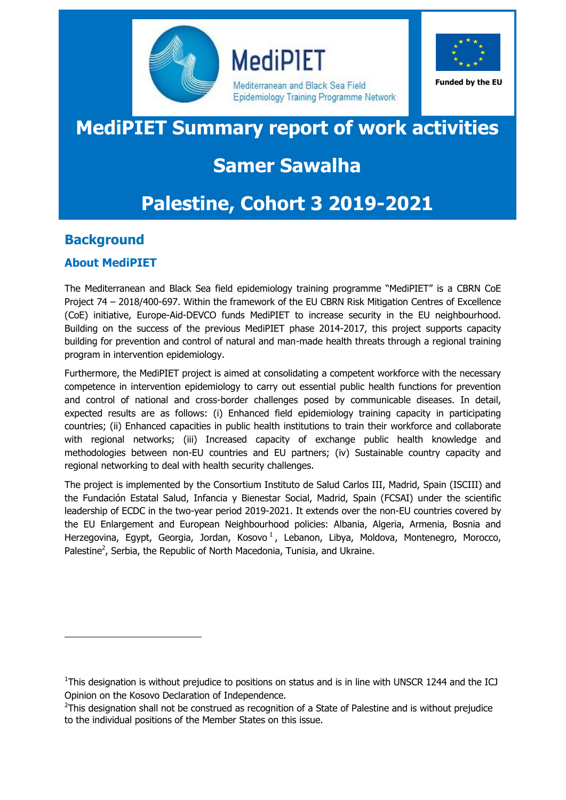

**MediPIET** 

Mediterranean and Black Sea Field Epidemiology Training Programme Network



**Funded by the EU**

# **MediPIET Summary report of work activities**

# **Samer Sawalha**

# **Palestine, Cohort 3 2019-2021**

# **Background**

-

# **About MediPIET**

The Mediterranean and Black Sea field epidemiology training programme "MediPIET" is a CBRN CoE Project 74 – 2018/400-697. Within the framework of the EU CBRN Risk Mitigation Centres of Excellence (CoE) initiative, Europe-Aid-DEVCO funds MediPIET to increase security in the EU neighbourhood. Building on the success of the previous MediPIET phase 2014-2017, this project supports capacity building for prevention and control of natural and man-made health threats through a regional training program in intervention epidemiology.

Furthermore, the MediPIET project is aimed at consolidating a competent workforce with the necessary competence in intervention epidemiology to carry out essential public health functions for prevention and control of national and cross-border challenges posed by communicable diseases. In detail, expected results are as follows: (i) Enhanced field epidemiology training capacity in participating countries; (ii) Enhanced capacities in public health institutions to train their workforce and collaborate with regional networks; (iii) Increased capacity of exchange public health knowledge and methodologies between non-EU countries and EU partners; (iv) Sustainable country capacity and regional networking to deal with health security challenges.

The project is implemented by the Consortium Instituto de Salud Carlos III, Madrid, Spain (ISCIII) and the Fundación Estatal Salud, Infancia y Bienestar Social, Madrid, Spain (FCSAI) under the scientific leadership of ECDC in the two-year period 2019-2021. It extends over the non-EU countries covered by the EU Enlargement and European Neighbourhood policies: Albania, Algeria, Armenia, Bosnia and Herzegovina, Egypt, Georgia, Jordan, Kosovo<sup>1</sup>, Lebanon, Libya, Moldova, Montenegro, Morocco, Palestine<sup>2</sup>, Serbia, the Republic of North Macedonia, Tunisia, and Ukraine.

<sup>&</sup>lt;sup>1</sup>This designation is without prejudice to positions on status and is in line with UNSCR 1244 and the ICJ Opinion on the Kosovo Declaration of Independence.

 $2$ This designation shall not be construed as recognition of a State of Palestine and is without prejudice to the individual positions of the Member States on this issue.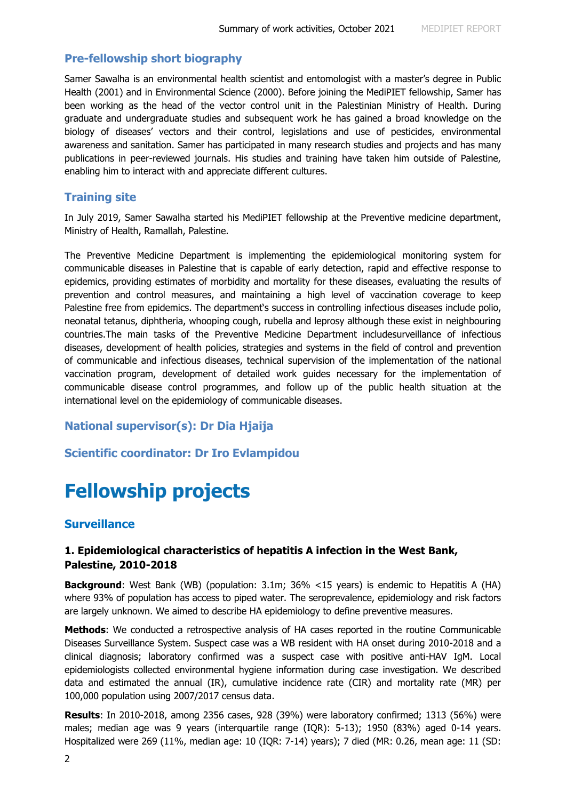#### **Pre-fellowship short biography**

Samer Sawalha is an environmental health scientist and entomologist with a master's degree in Public Health (2001) and in Environmental Science (2000). Before joining the MediPIET fellowship, Samer has been working as the head of the vector control unit in the Palestinian Ministry of Health. During graduate and undergraduate studies and subsequent work he has gained a broad knowledge on the biology of diseases' vectors and their control, legislations and use of pesticides, environmental awareness and sanitation. Samer has participated in many research studies and projects and has many publications in peer-reviewed journals. His studies and training have taken him outside of Palestine, enabling him to interact with and appreciate different cultures.

### **Training site**

In July 2019, Samer Sawalha started his MediPIET fellowship at the Preventive medicine department, Ministry of Health, Ramallah, Palestine.

The Preventive Medicine Department is implementing the epidemiological monitoring system for communicable diseases in Palestine that is capable of early detection, rapid and effective response to epidemics, providing estimates of morbidity and mortality for these diseases, evaluating the results of prevention and control measures, and maintaining a high level of vaccination coverage to keep Palestine free from epidemics. The department's success in controlling infectious diseases include polio, neonatal tetanus, diphtheria, whooping cough, rubella and leprosy although these exist in neighbouring countries.The main tasks of the Preventive Medicine Department includesurveillance of infectious diseases, development of health policies, strategies and systems in the field of control and prevention of communicable and infectious diseases, technical supervision of the implementation of the national vaccination program, development of detailed work guides necessary for the implementation of communicable disease control programmes, and follow up of the public health situation at the international level on the epidemiology of communicable diseases.

### **National supervisor(s): Dr Dia Hjaija**

#### **Scientific coordinator: Dr Iro Evlampidou**

# **Fellowship projects**

### **Surveillance**

## **1. Epidemiological characteristics of hepatitis A infection in the West Bank, Palestine, 2010-2018**

**Background**: West Bank (WB) (population: 3.1m; 36% <15 years) is endemic to Hepatitis A (HA) where 93% of population has access to piped water. The seroprevalence, epidemiology and risk factors are largely unknown. We aimed to describe HA epidemiology to define preventive measures.

**Methods**: We conducted a retrospective analysis of HA cases reported in the routine Communicable Diseases Surveillance System. Suspect case was a WB resident with HA onset during 2010-2018 and a clinical diagnosis; laboratory confirmed was a suspect case with positive anti-HAV IgM. Local epidemiologists collected environmental hygiene information during case investigation. We described data and estimated the annual (IR), cumulative incidence rate (CIR) and mortality rate (MR) per 100,000 population using 2007/2017 census data.

**Results**: In 2010-2018, among 2356 cases, 928 (39%) were laboratory confirmed; 1313 (56%) were males; median age was 9 years (interquartile range (IQR): 5-13); 1950 (83%) aged 0-14 years. Hospitalized were 269 (11%, median age: 10 (IQR: 7-14) years); 7 died (MR: 0.26, mean age: 11 (SD: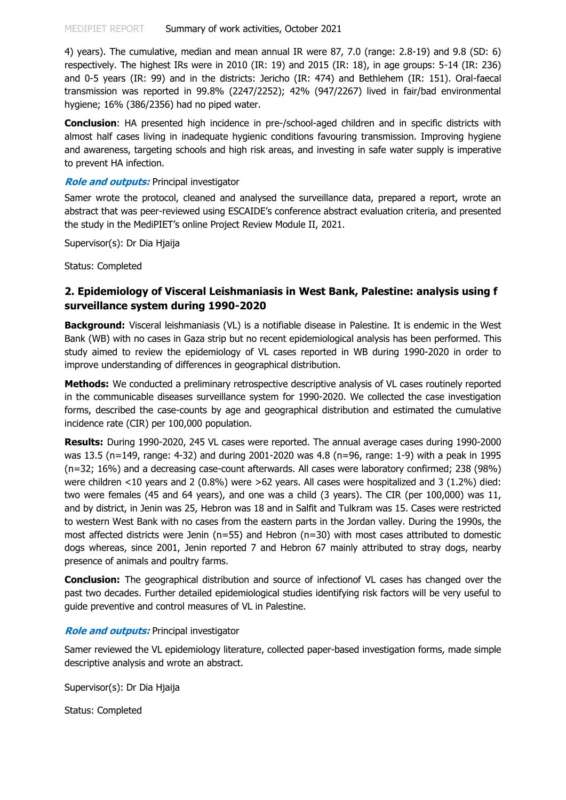4) years). The cumulative, median and mean annual IR were 87, 7.0 (range: 2.8-19) and 9.8 (SD: 6) respectively. The highest IRs were in 2010 (IR: 19) and 2015 (IR: 18), in age groups: 5-14 (IR: 236) and 0-5 years (IR: 99) and in the districts: Jericho (IR: 474) and Bethlehem (IR: 151). Oral-faecal transmission was reported in 99.8% (2247/2252); 42% (947/2267) lived in fair/bad environmental hygiene; 16% (386/2356) had no piped water.

**Conclusion**: HA presented high incidence in pre-/school-aged children and in specific districts with almost half cases living in inadequate hygienic conditions favouring transmission. Improving hygiene and awareness, targeting schools and high risk areas, and investing in safe water supply is imperative to prevent HA infection.

#### **Role and outputs:** Principal investigator

Samer wrote the protocol, cleaned and analysed the surveillance data, prepared a report, wrote an abstract that was peer-reviewed using ESCAIDE's conference abstract evaluation criteria, and presented the study in the MediPIET's online Project Review Module II, 2021.

Supervisor(s): Dr Dia Hjaija

Status: Completed

## **2. Epidemiology of Visceral Leishmaniasis in West Bank, Palestine: analysis using f surveillance system during 1990-2020**

**Background:** Visceral leishmaniasis (VL) is a notifiable disease in Palestine. It is endemic in the West Bank (WB) with no cases in Gaza strip but no recent epidemiological analysis has been performed. This study aimed to review the epidemiology of VL cases reported in WB during 1990-2020 in order to improve understanding of differences in geographical distribution.

**Methods:** We conducted a preliminary retrospective descriptive analysis of VL cases routinely reported in the communicable diseases surveillance system for 1990-2020. We collected the case investigation forms, described the case-counts by age and geographical distribution and estimated the cumulative incidence rate (CIR) per 100,000 population.

**Results:** During 1990-2020, 245 VL cases were reported. The annual average cases during 1990-2000 was 13.5 (n=149, range: 4-32) and during 2001-2020 was 4.8 (n=96, range: 1-9) with a peak in 1995 (n=32; 16%) and a decreasing case-count afterwards. All cases were laboratory confirmed; 238 (98%) were children <10 years and 2 (0.8%) were >62 years. All cases were hospitalized and 3 (1.2%) died: two were females (45 and 64 years), and one was a child (3 years). The CIR (per 100,000) was 11, and by district, in Jenin was 25, Hebron was 18 and in Salfit and Tulkram was 15. Cases were restricted to western West Bank with no cases from the eastern parts in the Jordan valley. During the 1990s, the most affected districts were Jenin (n=55) and Hebron (n=30) with most cases attributed to domestic dogs whereas, since 2001, Jenin reported 7 and Hebron 67 mainly attributed to stray dogs, nearby presence of animals and poultry farms.

**Conclusion:** The geographical distribution and source of infectionof VL cases has changed over the past two decades. Further detailed epidemiological studies identifying risk factors will be very useful to guide preventive and control measures of VL in Palestine.

#### **Role and outputs:** Principal investigator

Samer reviewed the VL epidemiology literature, collected paper-based investigation forms, made simple descriptive analysis and wrote an abstract.

Supervisor(s): Dr Dia Hjaija

Status: Completed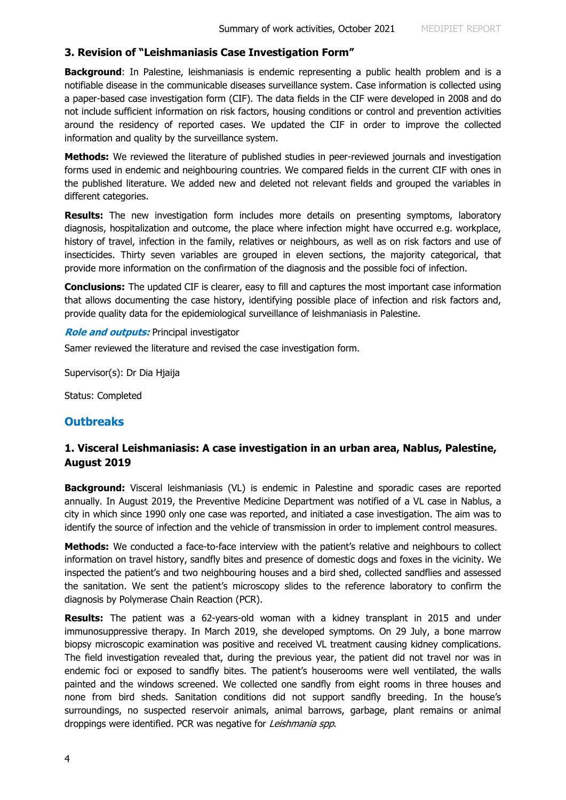### **3. Revision of "Leishmaniasis Case Investigation Form"**

**Background**: In Palestine, leishmaniasis is endemic representing a public health problem and is a notifiable disease in the communicable diseases surveillance system. Case information is collected using a paper-based case investigation form (CIF). The data fields in the CIF were developed in 2008 and do not include sufficient information on risk factors, housing conditions or control and prevention activities around the residency of reported cases. We updated the CIF in order to improve the collected information and quality by the surveillance system.

**Methods:** We reviewed the literature of published studies in peer-reviewed journals and investigation forms used in endemic and neighbouring countries. We compared fields in the current CIF with ones in the published literature. We added new and deleted not relevant fields and grouped the variables in different categories.

**Results:** The new investigation form includes more details on presenting symptoms, laboratory diagnosis, hospitalization and outcome, the place where infection might have occurred e.g. workplace, history of travel, infection in the family, relatives or neighbours, as well as on risk factors and use of insecticides. Thirty seven variables are grouped in eleven sections, the majority categorical, that provide more information on the confirmation of the diagnosis and the possible foci of infection.

**Conclusions:** The updated CIF is clearer, easy to fill and captures the most important case information that allows documenting the case history, identifying possible place of infection and risk factors and, provide quality data for the epidemiological surveillance of leishmaniasis in Palestine.

#### **Role and outputs:** Principal investigator

Samer reviewed the literature and revised the case investigation form.

Supervisor(s): Dr Dia Hjaija

Status: Completed

## **Outbreaks**

## **1. Visceral Leishmaniasis: A case investigation in an urban area, Nablus, Palestine, August 2019**

**Background:** Visceral leishmaniasis (VL) is endemic in Palestine and sporadic cases are reported annually. In August 2019, the Preventive Medicine Department was notified of a VL case in Nablus, a city in which since 1990 only one case was reported, and initiated a case investigation. The aim was to identify the source of infection and the vehicle of transmission in order to implement control measures.

**Methods:** We conducted a face-to-face interview with the patient's relative and neighbours to collect information on travel history, sandfly bites and presence of domestic dogs and foxes in the vicinity. We inspected the patient's and two neighbouring houses and a bird shed, collected sandflies and assessed the sanitation. We sent the patient's microscopy slides to the reference laboratory to confirm the diagnosis by Polymerase Chain Reaction (PCR).

**Results:** The patient was a 62-years-old woman with a kidney transplant in 2015 and under immunosuppressive therapy. In March 2019, she developed symptoms. On 29 July, a bone marrow biopsy microscopic examination was positive and received VL treatment causing kidney complications. The field investigation revealed that, during the previous year, the patient did not travel nor was in endemic foci or exposed to sandfly bites. The patient's houserooms were well ventilated, the walls painted and the windows screened. We collected one sandfly from eight rooms in three houses and none from bird sheds. Sanitation conditions did not support sandfly breeding. In the house's surroundings, no suspected reservoir animals, animal barrows, garbage, plant remains or animal droppings were identified. PCR was negative for Leishmania spp.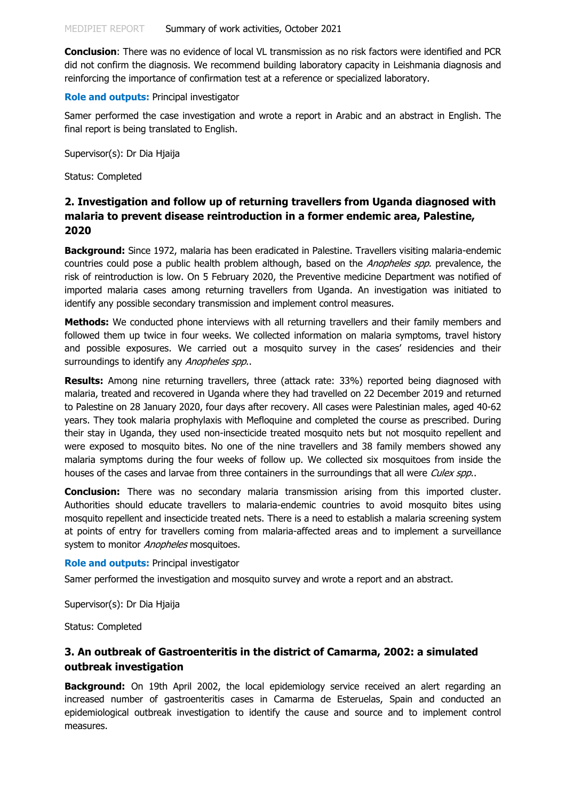**Conclusion**: There was no evidence of local VL transmission as no risk factors were identified and PCR did not confirm the diagnosis. We recommend building laboratory capacity in Leishmania diagnosis and reinforcing the importance of confirmation test at a reference or specialized laboratory.

#### **Role and outputs:** Principal investigator

Samer performed the case investigation and wrote a report in Arabic and an abstract in English. The final report is being translated to English.

Supervisor(s): Dr Dia Hjaija

Status: Completed

## **2. Investigation and follow up of returning travellers from Uganda diagnosed with malaria to prevent disease reintroduction in a former endemic area, Palestine, 2020**

**Background:** Since 1972, malaria has been eradicated in Palestine. Travellers visiting malaria-endemic countries could pose a public health problem although, based on the *Anopheles spp*. prevalence, the risk of reintroduction is low. On 5 February 2020, the Preventive medicine Department was notified of imported malaria cases among returning travellers from Uganda. An investigation was initiated to identify any possible secondary transmission and implement control measures.

**Methods:** We conducted phone interviews with all returning travellers and their family members and followed them up twice in four weeks. We collected information on malaria symptoms, travel history and possible exposures. We carried out a mosquito survey in the cases' residencies and their surroundings to identify any Anopheles spp..

**Results:** Among nine returning travellers, three (attack rate: 33%) reported being diagnosed with malaria, treated and recovered in Uganda where they had travelled on 22 December 2019 and returned to Palestine on 28 January 2020, four days after recovery. All cases were Palestinian males, aged 40-62 years. They took malaria prophylaxis with Mefloquine and completed the course as prescribed. During their stay in Uganda, they used non-insecticide treated mosquito nets but not mosquito repellent and were exposed to mosquito bites. No one of the nine travellers and 38 family members showed any malaria symptoms during the four weeks of follow up. We collected six mosquitoes from inside the houses of the cases and larvae from three containers in the surroundings that all were Culex spp..

**Conclusion:** There was no secondary malaria transmission arising from this imported cluster. Authorities should educate travellers to malaria-endemic countries to avoid mosquito bites using mosquito repellent and insecticide treated nets. There is a need to establish a malaria screening system at points of entry for travellers coming from malaria-affected areas and to implement a surveillance system to monitor Anopheles mosquitoes.

#### **Role and outputs:** Principal investigator

Samer performed the investigation and mosquito survey and wrote a report and an abstract.

Supervisor(s): Dr Dia Hjaija

Status: Completed

## **3. An outbreak of Gastroenteritis in the district of Camarma, 2002: a simulated outbreak investigation**

**Background:** On 19th April 2002, the local epidemiology service received an alert regarding an increased number of gastroenteritis cases in Camarma de Esteruelas, Spain and conducted an epidemiological outbreak investigation to identify the cause and source and to implement control measures.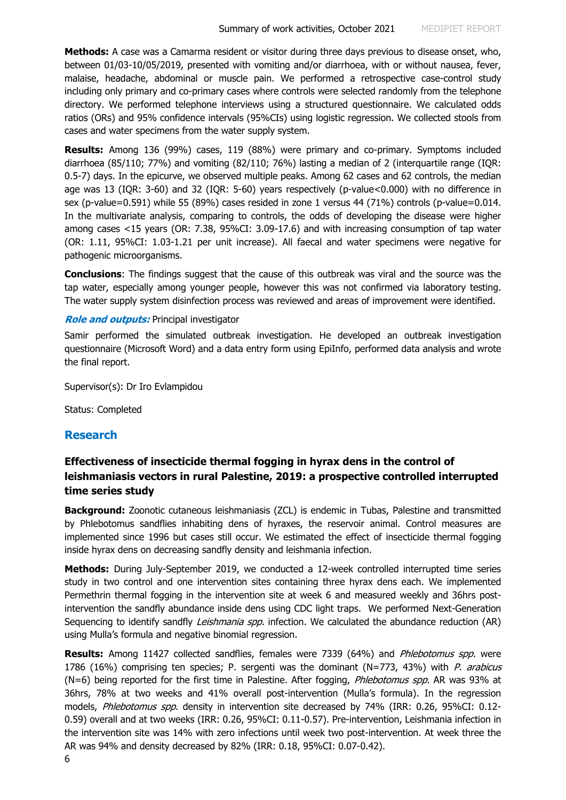**Methods:** A case was a Camarma resident or visitor during three days previous to disease onset, who, between 01/03-10/05/2019, presented with vomiting and/or diarrhoea, with or without nausea, fever, malaise, headache, abdominal or muscle pain. We performed a retrospective case-control study including only primary and co-primary cases where controls were selected randomly from the telephone directory. We performed telephone interviews using a structured questionnaire. We calculated odds ratios (ORs) and 95% confidence intervals (95%CIs) using logistic regression. We collected stools from cases and water specimens from the water supply system.

**Results:** Among 136 (99%) cases, 119 (88%) were primary and co-primary. Symptoms included diarrhoea (85/110; 77%) and vomiting (82/110; 76%) lasting a median of 2 (interquartile range (IQR: 0.5-7) days. In the epicurve, we observed multiple peaks. Among 62 cases and 62 controls, the median age was 13 (IQR: 3-60) and 32 (IQR: 5-60) years respectively (p-value<0.000) with no difference in sex (p-value=0.591) while 55 (89%) cases resided in zone 1 versus 44 (71%) controls (p-value=0.014. In the multivariate analysis, comparing to controls, the odds of developing the disease were higher among cases <15 years (OR: 7.38, 95%CI: 3.09-17.6) and with increasing consumption of tap water (OR: 1.11, 95%CI: 1.03-1.21 per unit increase). All faecal and water specimens were negative for pathogenic microorganisms.

**Conclusions**: The findings suggest that the cause of this outbreak was viral and the source was the tap water, especially among younger people, however this was not confirmed via laboratory testing. The water supply system disinfection process was reviewed and areas of improvement were identified.

### **Role and outputs:** Principal investigator

Samir performed the simulated outbreak investigation. He developed an outbreak investigation questionnaire (Microsoft Word) and a data entry form using EpiInfo, performed data analysis and wrote the final report.

Supervisor(s): Dr Iro Evlampidou

Status: Completed

## **Research**

## **Effectiveness of insecticide thermal fogging in hyrax dens in the control of leishmaniasis vectors in rural Palestine, 2019: a prospective controlled interrupted time series study**

**Background:** Zoonotic cutaneous leishmaniasis (ZCL) is endemic in Tubas, Palestine and transmitted by Phlebotomus sandflies inhabiting dens of hyraxes, the reservoir animal. Control measures are implemented since 1996 but cases still occur. We estimated the effect of insecticide thermal fogging inside hyrax dens on decreasing sandfly density and leishmania infection.

**Methods:** During July-September 2019, we conducted a 12-week controlled interrupted time series study in two control and one intervention sites containing three hyrax dens each. We implemented Permethrin thermal fogging in the intervention site at week 6 and measured weekly and 36hrs postintervention the sandfly abundance inside dens using CDC light traps. We performed Next-Generation Sequencing to identify sandfly *Leishmania spp.* infection. We calculated the abundance reduction (AR) using Mulla's formula and negative binomial regression.

**Results:** Among 11427 collected sandflies, females were 7339 (64%) and *Phlebotomus spp.* were 1786 (16%) comprising ten species; P. sergenti was the dominant (N=773, 43%) with P. arabicus (N=6) being reported for the first time in Palestine. After fogging, *Phlebotomus spp.* AR was 93% at 36hrs, 78% at two weeks and 41% overall post-intervention (Mulla's formula). In the regression models, *Phlebotomus spp.* density in intervention site decreased by 74% (IRR: 0.26, 95%CI: 0.12-0.59) overall and at two weeks (IRR: 0.26, 95%CI: 0.11-0.57). Pre-intervention, Leishmania infection in the intervention site was 14% with zero infections until week two post-intervention. At week three the AR was 94% and density decreased by 82% (IRR: 0.18, 95%CI: 0.07-0.42).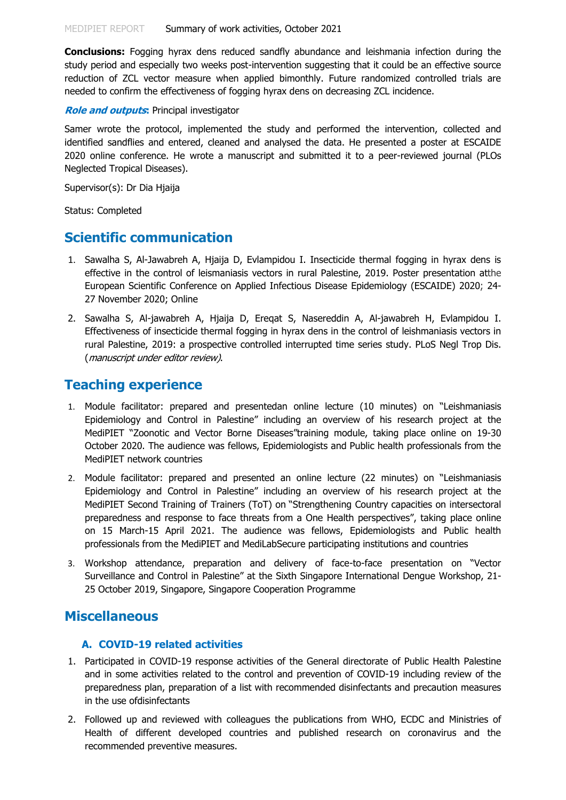**Conclusions:** Fogging hyrax dens reduced sandfly abundance and leishmania infection during the study period and especially two weeks post-intervention suggesting that it could be an effective source reduction of ZCL vector measure when applied bimonthly. Future randomized controlled trials are needed to confirm the effectiveness of fogging hyrax dens on decreasing ZCL incidence.

#### **Role and outputs:** Principal investigator

Samer wrote the protocol, implemented the study and performed the intervention, collected and identified sandflies and entered, cleaned and analysed the data. He presented a poster at ESCAIDE 2020 online conference. He wrote a manuscript and submitted it to a peer-reviewed journal (PLOs Neglected Tropical Diseases).

Supervisor(s): Dr Dia Hjaija

Status: Completed

## **Scientific communication**

- 1. Sawalha S, Al-Jawabreh A, Hjaija D, Evlampidou I. Insecticide thermal fogging in hyrax dens is effective in the control of leismaniasis vectors in rural Palestine, 2019. Poster presentation atthe European Scientific Conference on Applied Infectious Disease Epidemiology (ESCAIDE) 2020; 24- 27 November 2020; Online
- 2. Sawalha S, Al-jawabreh A, Hjaija D, Ereqat S, Nasereddin A, Al-jawabreh H, Evlampidou I. Effectiveness of insecticide thermal fogging in hyrax dens in the control of leishmaniasis vectors in rural Palestine, 2019: a prospective controlled interrupted time series study. PLoS Negl Trop Dis. (manuscript under editor review).

## **Teaching experience**

- 1. Module facilitator: prepared and presentedan online lecture (10 minutes) on "Leishmaniasis Epidemiology and Control in Palestine" including an overview of his research project at the MediPIET "Zoonotic and Vector Borne Diseases"training module, taking place online on 19-30 October 2020. The audience was fellows, Epidemiologists and Public health professionals from the MediPIET network countries
- 2. Module facilitator: prepared and presented an online lecture (22 minutes) on "Leishmaniasis Epidemiology and Control in Palestine" including an overview of his research project at the MediPIET Second Training of Trainers (ToT) on "Strengthening Country capacities on intersectoral preparedness and response to face threats from a One Health perspectives", taking place online on 15 March-15 April 2021. The audience was fellows, Epidemiologists and Public health professionals from the MediPIET and MediLabSecure participating institutions and countries
- 3. Workshop attendance, preparation and delivery of face-to-face presentation on "Vector Surveillance and Control in Palestine" at the Sixth Singapore International Dengue Workshop, 21- 25 October 2019, Singapore, Singapore Cooperation Programme

## **Miscellaneous**

### **A. COVID-19 related activities**

- 1. Participated in COVID-19 response activities of the General directorate of Public Health Palestine and in some activities related to the control and prevention of COVID-19 including review of the preparedness plan, preparation of a list with recommended disinfectants and precaution measures in the use ofdisinfectants
- 2. Followed up and reviewed with colleagues the publications from WHO, ECDC and Ministries of Health of different developed countries and published research on coronavirus and the recommended preventive measures.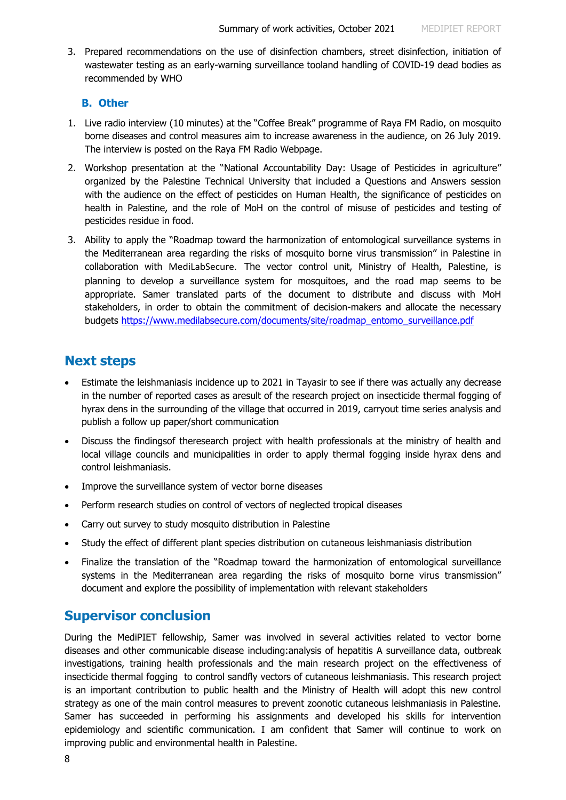3. Prepared recommendations on the use of disinfection chambers, street disinfection, initiation of wastewater testing as an early-warning surveillance tooland handling of COVID-19 dead bodies as recommended by WHO

## **B. Other**

- 1. Live radio interview (10 minutes) at the "Coffee Break" programme of Raya FM Radio, on mosquito borne diseases and control measures aim to increase awareness in the audience, on 26 July 2019. The interview is posted on the Raya FM Radio Webpage.
- 2. Workshop presentation at the "National Accountability Day: Usage of Pesticides in agriculture" organized by the Palestine Technical University that included a Questions and Answers session with the audience on the effect of pesticides on Human Health, the significance of pesticides on health in Palestine, and the role of MoH on the control of misuse of pesticides and testing of pesticides residue in food.
- 3. Ability to apply the "Roadmap toward the harmonization of entomological surveillance systems in the Mediterranean area regarding the risks of mosquito borne virus transmission'' in Palestine in collaboration with MediLabSecure. The vector control unit, Ministry of Health, Palestine, is planning to develop a surveillance system for mosquitoes, and the road map seems to be appropriate. Samer translated parts of the document to distribute and discuss with MoH stakeholders, in order to obtain the commitment of decision-makers and allocate the necessary budgets [https://www.medilabsecure.com/documents/site/roadmap\\_entomo\\_surveillance.pdf](https://www.medilabsecure.com/documents/site/roadmap_entomo_surveillance.pdf)

# **Next steps**

- Estimate the leishmaniasis incidence up to 2021 in Tayasir to see if there was actually any decrease in the number of reported cases as aresult of the research project on insecticide thermal fogging of hyrax dens in the surrounding of the village that occurred in 2019, carryout time series analysis and publish a follow up paper/short communication
- Discuss the findingsof theresearch project with health professionals at the ministry of health and local village councils and municipalities in order to apply thermal fogging inside hyrax dens and control leishmaniasis.
- Improve the surveillance system of vector borne diseases
- Perform research studies on control of vectors of neglected tropical diseases
- Carry out survey to study mosquito distribution in Palestine
- Study the effect of different plant species distribution on cutaneous leishmaniasis distribution
- Finalize the translation of the "Roadmap toward the harmonization of entomological surveillance systems in the Mediterranean area regarding the risks of mosquito borne virus transmission'' document and explore the possibility of implementation with relevant stakeholders

# **Supervisor conclusion**

During the MediPIET fellowship, Samer was involved in several activities related to vector borne diseases and other communicable disease including:analysis of hepatitis A surveillance data, outbreak investigations, training health professionals and the main research project on the effectiveness of insecticide thermal fogging to control sandfly vectors of cutaneous leishmaniasis. This research project is an important contribution to public health and the Ministry of Health will adopt this new control strategy as one of the main control measures to prevent zoonotic cutaneous leishmaniasis in Palestine. Samer has succeeded in performing his assignments and developed his skills for intervention epidemiology and scientific communication. I am confident that Samer will continue to work on improving public and environmental health in Palestine.